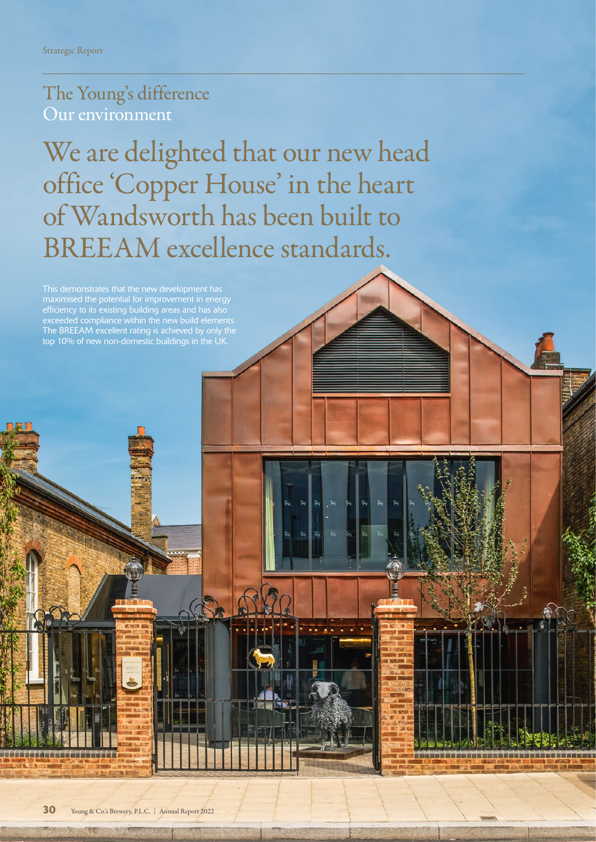## The Young's difference Our environment

We are delighted that our new head office 'Copper House' in the heart of Wandsworth has been built to BREEAM excellence standards.

efficiency to its existing building areas and has also exceeded compliance within the new build elements. The BREEAM excellent rating is achieved by only the top 10% of new non-domestic buildings in the UK.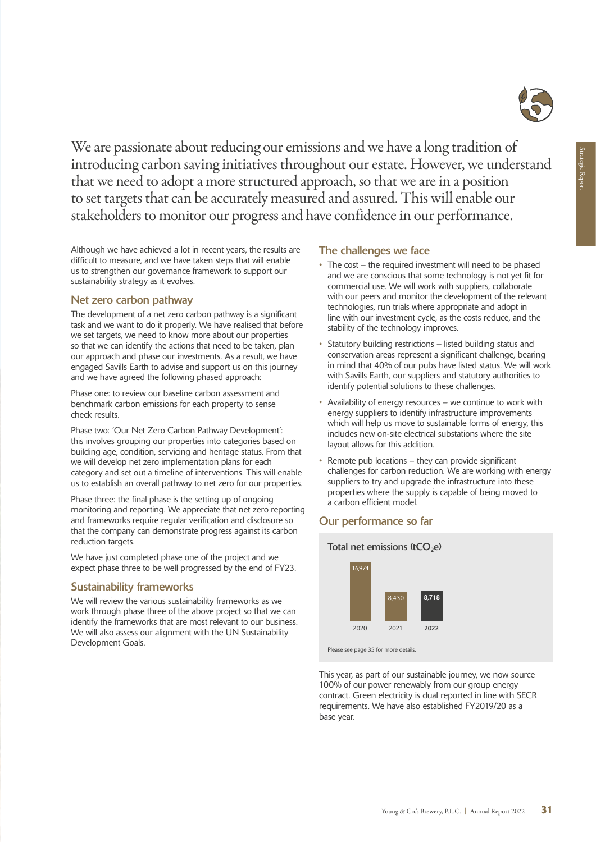

We are passionate about reducing our emissions and we have a long tradition of introducing carbon saving initiatives throughout our estate. However, we understand that we need to adopt a more structured approach, so that we are in a position to set targets that can be accurately measured and assured. This will enable our stakeholders to monitor our progress and have confidence in our performance.

Although we have achieved a lot in recent years, the results are difficult to measure, and we have taken steps that will enable us to strengthen our governance framework to support our sustainability strategy as it evolves.

#### Net zero carbon pathway

The development of a net zero carbon pathway is a significant task and we want to do it properly. We have realised that before we set targets, we need to know more about our properties so that we can identify the actions that need to be taken, plan our approach and phase our investments. As a result, we have engaged Savills Earth to advise and support us on this journey and we have agreed the following phased approach:

Phase one: to review our baseline carbon assessment and benchmark carbon emissions for each property to sense check results.

Phase two: 'Our Net Zero Carbon Pathway Development': this involves grouping our properties into categories based on building age, condition, servicing and heritage status. From that we will develop net zero implementation plans for each category and set out a timeline of interventions. This will enable us to establish an overall pathway to net zero for our properties.

Phase three: the final phase is the setting up of ongoing monitoring and reporting. We appreciate that net zero reporting and frameworks require regular verification and disclosure so that the company can demonstrate progress against its carbon reduction targets.

We have just completed phase one of the project and we expect phase three to be well progressed by the end of FY23.

#### Sustainability frameworks

We will review the various sustainability frameworks as we work through phase three of the above project so that we can identify the frameworks that are most relevant to our business. We will also assess our alignment with the UN Sustainability Development Goals.

#### The challenges we face

- The cost the required investment will need to be phased and we are conscious that some technology is not yet fit for commercial use. We will work with suppliers, collaborate with our peers and monitor the development of the relevant technologies, run trials where appropriate and adopt in line with our investment cycle, as the costs reduce, and the stability of the technology improves.
- Statutory building restrictions listed building status and conservation areas represent a significant challenge, bearing in mind that 40% of our pubs have listed status. We will work with Savills Earth, our suppliers and statutory authorities to identify potential solutions to these challenges.
- Availability of energy resources we continue to work with energy suppliers to identify infrastructure improvements which will help us move to sustainable forms of energy, this includes new on-site electrical substations where the site layout allows for this addition.
- Remote pub locations they can provide significant challenges for carbon reduction. We are working with energy suppliers to try and upgrade the infrastructure into these properties where the supply is capable of being moved to a carbon efficient model.

#### Our performance so far



This year, as part of our sustainable journey, we now source 100% of our power renewably from our group energy contract. Green electricity is dual reported in line with SECR requirements. We have also established FY2019/20 as a base year.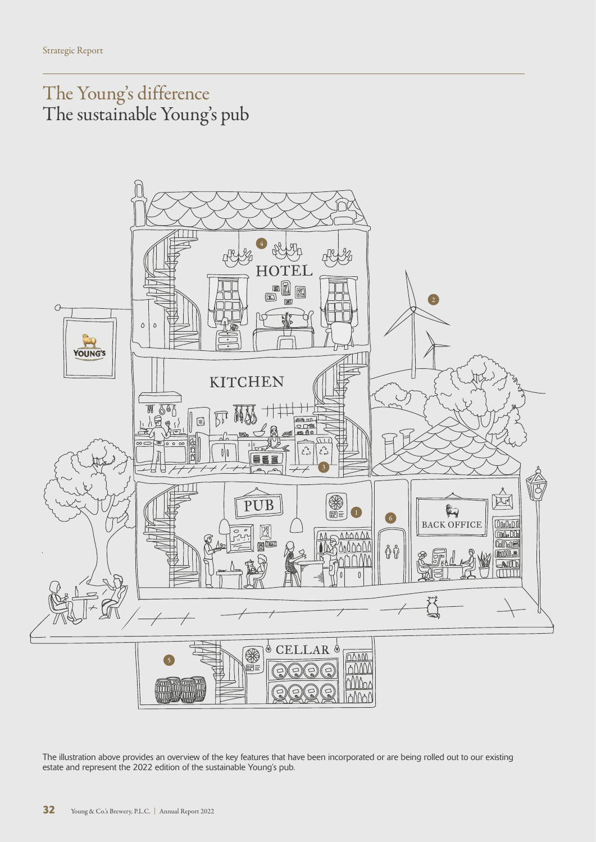The Young's difference The sustainable Young's pub



The illustration above provides an overview of the key features that have been incorporated or are being rolled out to our existing estate and represent the 2022 edition of the sustainable Young's pub.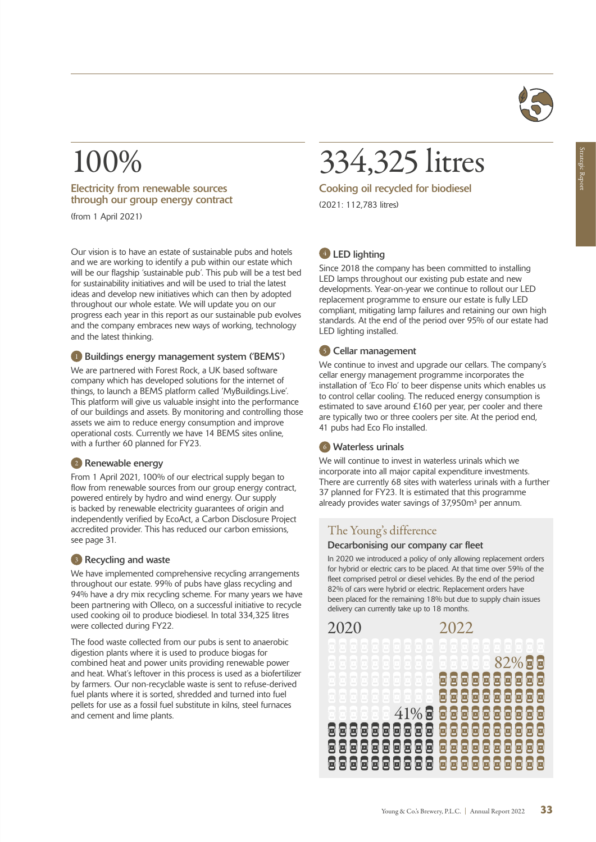

# 100%

#### Electricity from renewable sources through our group energy contract

(from 1 April 2021)

Our vision is to have an estate of sustainable pubs and hotels and we are working to identify a pub within our estate which will be our flagship 'sustainable pub'. This pub will be a test bed for sustainability initiatives and will be used to trial the latest ideas and develop new initiatives which can then by adopted throughout our whole estate. We will update you on our progress each year in this report as our sustainable pub evolves and the company embraces new ways of working, technology and the latest thinking.

#### <sup>1</sup> Buildings energy management system ('BEMS')

We are partnered with Forest Rock, a UK based software company which has developed solutions for the internet of things, to launch a BEMS platform called 'MyBuildings.Live'. This platform will give us valuable insight into the performance of our buildings and assets. By monitoring and controlling those assets we aim to reduce energy consumption and improve operational costs. Currently we have 14 BEMS sites online, with a further 60 planned for FY23.

#### <sup>2</sup> Renewable energy

From 1 April 2021, 100% of our electrical supply began to flow from renewable sources from our group energy contract, powered entirely by hydro and wind energy. Our supply is backed by renewable electricity guarantees of origin and independently verified by EcoAct, a Carbon Disclosure Project accredited provider. This has reduced our carbon emissions, see page 31.

#### <sup>3</sup> Recycling and waste

We have implemented comprehensive recycling arrangements throughout our estate. 99% of pubs have glass recycling and 94% have a dry mix recycling scheme. For many years we have been partnering with Olleco, on a successful initiative to recycle used cooking oil to produce biodiesel. In total 334,325 litres were collected during FY22.

The food waste collected from our pubs is sent to anaerobic digestion plants where it is used to produce biogas for combined heat and power units providing renewable power and heat. What's leftover in this process is used as a biofertilizer by farmers. Our non-recyclable waste is sent to refuse-derived fuel plants where it is sorted, shredded and turned into fuel pellets for use as a fossil fuel substitute in kilns, steel furnaces and cement and lime plants.

# 334,325 litres

Cooking oil recycled for biodiesel (2021: 112,783 litres)

#### <sup>4</sup> LED lighting

Since 2018 the company has been committed to installing LED lamps throughout our existing pub estate and new developments. Year-on-year we continue to rollout our LED replacement programme to ensure our estate is fully LED compliant, mitigating lamp failures and retaining our own high standards. At the end of the period over 95% of our estate had LED lighting installed.

#### <sup>5</sup> Cellar management

We continue to invest and upgrade our cellars. The company's cellar energy management programme incorporates the installation of 'Eco Flo' to beer dispense units which enables us to control cellar cooling. The reduced energy consumption is estimated to save around £160 per year, per cooler and there are typically two or three coolers per site. At the period end, 41 pubs had Eco Flo installed.

#### <sup>6</sup> Waterless urinals

We will continue to invest in waterless urinals which we incorporate into all major capital expenditure investments. There are currently 68 sites with waterless urinals with a further 37 planned for FY23. It is estimated that this programme already provides water savings of 37,950m<sup>3</sup> per annum.

### The Young's difference

#### Decarbonising our company car fleet

In 2020 we introduced a policy of only allowing replacement orders for hybrid or electric cars to be placed. At that time over 59% of the fleet comprised petrol or diesel vehicles. By the end of the period 82% of cars were hybrid or electric. Replacement orders have been placed for the remaining 18% but due to supply chain issues delivery can currently take up to 18 months.

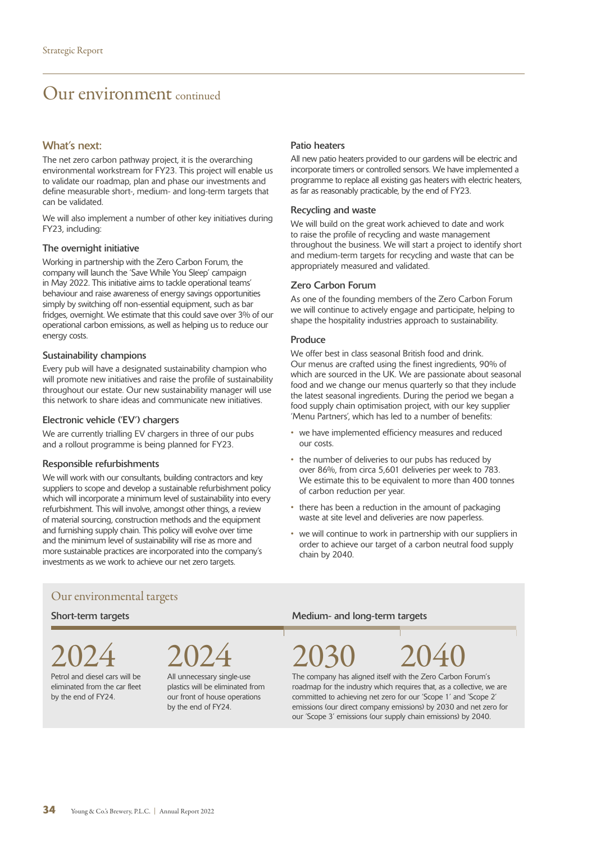### Our environment continued

#### What's next:

The net zero carbon pathway project, it is the overarching environmental workstream for FY23. This project will enable us to validate our roadmap, plan and phase our investments and define measurable short-, medium- and long-term targets that can be validated.

We will also implement a number of other key initiatives during FY23, including:

#### The overnight initiative

Working in partnership with the Zero Carbon Forum, the company will launch the 'Save While You Sleep' campaign in May 2022. This initiative aims to tackle operational teams' behaviour and raise awareness of energy savings opportunities simply by switching off non-essential equipment, such as bar fridges, overnight. We estimate that this could save over 3% of our operational carbon emissions, as well as helping us to reduce our energy costs.

#### Sustainability champions

Every pub will have a designated sustainability champion who will promote new initiatives and raise the profile of sustainability throughout our estate. Our new sustainability manager will use this network to share ideas and communicate new initiatives.

#### Electronic vehicle ('EV') chargers

We are currently trialling EV chargers in three of our pubs and a rollout programme is being planned for FY23.

#### Responsible refurbishments

We will work with our consultants, building contractors and key suppliers to scope and develop a sustainable refurbishment policy which will incorporate a minimum level of sustainability into every refurbishment. This will involve, amongst other things, a review of material sourcing, construction methods and the equipment and furnishing supply chain. This policy will evolve over time and the minimum level of sustainability will rise as more and more sustainable practices are incorporated into the company's investments as we work to achieve our net zero targets.

#### Patio heaters

All new patio heaters provided to our gardens will be electric and incorporate timers or controlled sensors. We have implemented a programme to replace all existing gas heaters with electric heaters, as far as reasonably practicable, by the end of FY23.

#### Recycling and waste

We will build on the great work achieved to date and work to raise the profile of recycling and waste management throughout the business. We will start a project to identify short and medium-term targets for recycling and waste that can be appropriately measured and validated.

#### Zero Carbon Forum

As one of the founding members of the Zero Carbon Forum we will continue to actively engage and participate, helping to shape the hospitality industries approach to sustainability.

#### Produce

We offer best in class seasonal British food and drink. Our menus are crafted using the finest ingredients, 90% of which are sourced in the UK. We are passionate about seasonal food and we change our menus quarterly so that they include the latest seasonal ingredients. During the period we began a food supply chain optimisation project, with our key supplier 'Menu Partners', which has led to a number of benefits:

- we have implemented efficiency measures and reduced our costs.
- the number of deliveries to our pubs has reduced by over 86%, from circa 5,601 deliveries per week to 783. We estimate this to be equivalent to more than 400 tonnes of carbon reduction per year.
- there has been a reduction in the amount of packaging waste at site level and deliveries are now paperless.
- we will continue to work in partnership with our suppliers in order to achieve our target of a carbon neutral food supply chain by 2040.

#### Our environmental targets

Petrol and diesel cars will be eliminated from the car fleet

by the end of FY24.

All unnecessary single-use plastics will be eliminated from our front of house operations by the end of FY24.

#### Short-term targets **Medium-** and long-term targets

2024 2024 2030 2040 The company has aligned itself with the Zero Carbon Forum's

roadmap for the industry which requires that, as a collective, we are committed to achieving net zero for our 'Scope 1' and 'Scope 2' emissions (our direct company emissions) by 2030 and net zero for our 'Scope 3' emissions (our supply chain emissions) by 2040.